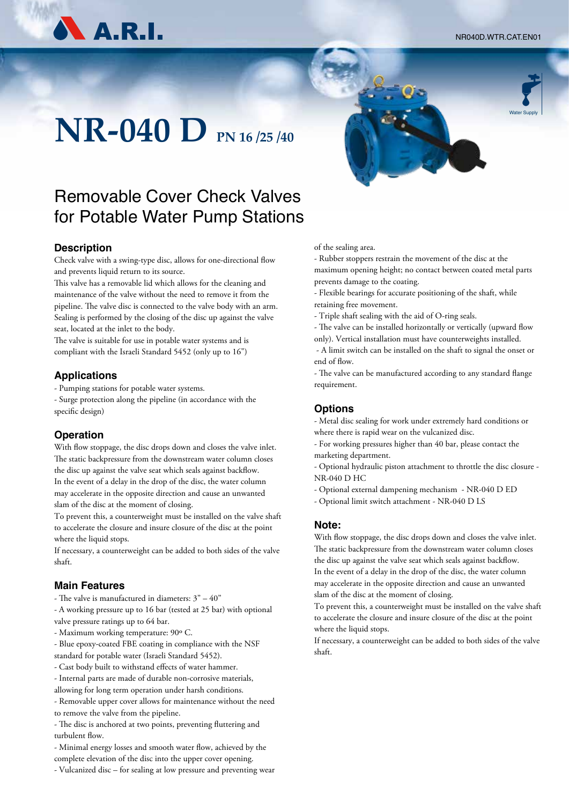NR040D.WTR.CAT.EN01

Water Supply



# **NR-040 D PN 16 /25 /40**

### Removable Cover Check Valves for Potable Water Pump Stations

### **Description**

Check valve with a swing-type disc, allows for one-directional flow and prevents liquid return to its source.

This valve has a removable lid which allows for the cleaning and maintenance of the valve without the need to remove it from the pipeline. The valve disc is connected to the valve body with an arm. Sealing is performed by the closing of the disc up against the valve seat, located at the inlet to the body.

The valve is suitable for use in potable water systems and is compliant with the Israeli Standard 5452 (only up to 16")

### **Applications**

- Pumping stations for potable water systems.

- Surge protection along the pipeline (in accordance with the specific design)

### **Operation**

With flow stoppage, the disc drops down and closes the valve inlet. The static backpressure from the downstream water column closes the disc up against the valve seat which seals against backflow. In the event of a delay in the drop of the disc, the water column may accelerate in the opposite direction and cause an unwanted slam of the disc at the moment of closing.

To prevent this, a counterweight must be installed on the valve shaft to accelerate the closure and insure closure of the disc at the point where the liquid stops.

If necessary, a counterweight can be added to both sides of the valve shaft.

### **Main Features**

- The valve is manufactured in diameters: 3" – 40"

- A working pressure up to 16 bar (tested at 25 bar) with optional valve pressure ratings up to 64 bar.

- Maximum working temperature: 90º C.
- Blue epoxy-coated FBE coating in compliance with the NSF standard for potable water (Israeli Standard 5452).
- Cast body built to withstand effects of water hammer.
- Internal parts are made of durable non-corrosive materials, allowing for long term operation under harsh conditions.
- Removable upper cover allows for maintenance without the need to remove the valve from the pipeline.

- The disc is anchored at two points, preventing fluttering and turbulent flow.

- Minimal energy losses and smooth water flow, achieved by the complete elevation of the disc into the upper cover opening.

- Vulcanized disc – for sealing at low pressure and preventing wear





- Rubber stoppers restrain the movement of the disc at the maximum opening height; no contact between coated metal parts prevents damage to the coating.

- Flexible bearings for accurate positioning of the shaft, while retaining free movement.
- Triple shaft sealing with the aid of O-ring seals.

- The valve can be installed horizontally or vertically (upward flow only). Vertical installation must have counterweights installed.

 - A limit switch can be installed on the shaft to signal the onset or end of flow.

- The valve can be manufactured according to any standard flange requirement.

### **Options**

- Metal disc sealing for work under extremely hard conditions or where there is rapid wear on the vulcanized disc.

- For working pressures higher than 40 bar, please contact the marketing department.

- Optional hydraulic piston attachment to throttle the disc closure - NR-040 D HC

- Optional external dampening mechanism - NR-040 D ED

- Optional limit switch attachment - NR-040 D LS

### **Note:**

With flow stoppage, the disc drops down and closes the valve inlet. The static backpressure from the downstream water column closes the disc up against the valve seat which seals against backflow. In the event of a delay in the drop of the disc, the water column may accelerate in the opposite direction and cause an unwanted slam of the disc at the moment of closing.

To prevent this, a counterweight must be installed on the valve shaft to accelerate the closure and insure closure of the disc at the point where the liquid stops.

If necessary, a counterweight can be added to both sides of the valve shaft.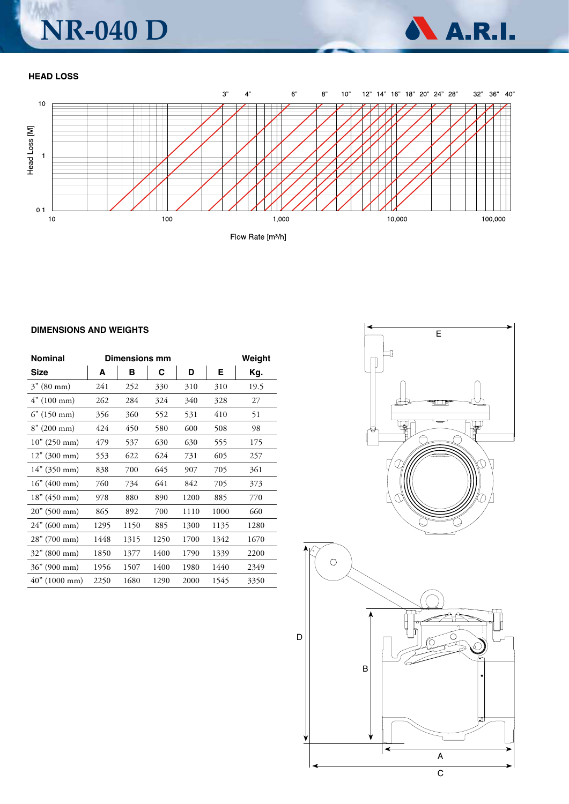### WM **NR-040 D**

A.R.I.

### **HEAD LOSS**



#### **DIMENSIONS AND WEIGHTS**

| <b>Nominal</b>        | <b>Dimensions mm</b> |      |      |      |      | Weight |
|-----------------------|----------------------|------|------|------|------|--------|
| Size                  | A                    | в    | С    | D    | Е    | Kg.    |
| $3'' (80 \text{ mm})$ | 241                  | 252  | 330  | 310  | 310  | 19.5   |
| 4" (100 mm)           | 262                  | 284  | 324  | 340  | 328  | 27     |
| $6''$ (150 mm)        | 356                  | 360  | 552  | 531  | 410  | 51     |
| $8''(200 \text{ mm})$ | 424                  | 450  | 580  | 600  | 508  | 98     |
| 10'' (250 mm)         | 479                  | 537  | 630  | 630  | 555  | 175    |
| 12" (300 mm)          | 553                  | 622  | 624  | 731  | 605  | 257    |
| $14''$ (350 mm)       | 838                  | 700  | 645  | 907  | 705  | 361    |
| 16'' (400 mm)         | 760                  | 734  | 641  | 842  | 705  | 373    |
| 18" (450 mm)          | 978                  | 880  | 890  | 1200 | 885  | 770    |
| 20" (500 mm)          | 865                  | 892  | 700  | 1110 | 1000 | 660    |
| $24$ " (600 mm)       | 1295                 | 1150 | 885  | 1300 | 1135 | 1280   |
| 28" (700 mm)          | 1448                 | 1315 | 1250 | 1700 | 1342 | 1670   |
| $32$ " (800 mm)       | 1850                 | 1377 | 1400 | 1790 | 1339 | 2200   |
| 36" (900 mm)          | 1956                 | 1507 | 1400 | 1980 | 1440 | 2349   |
| 40" (1000 mm)         | 2250                 | 1680 | 1290 | 2000 | 1545 | 3350   |

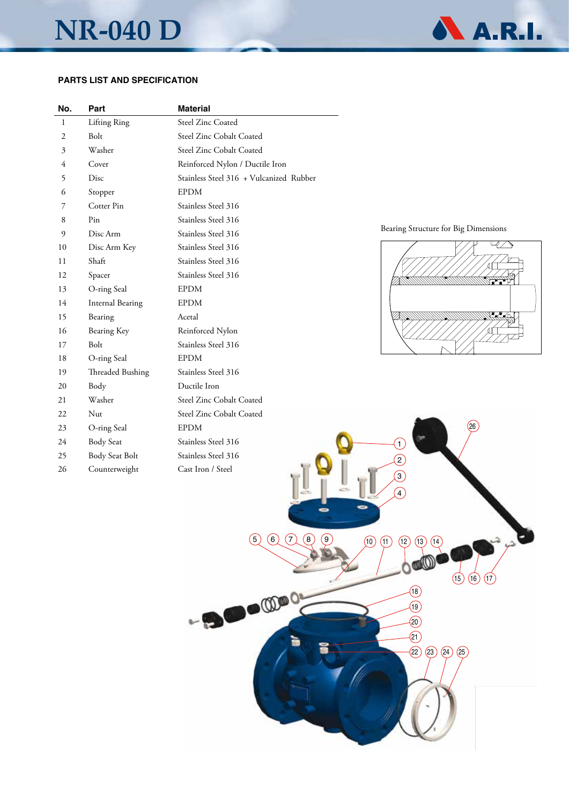## **NR-040 D**



### **PARTS LIST AND SPECIFICATION**

| No. | Part                    | <b>Material</b>                         |
|-----|-------------------------|-----------------------------------------|
| 1   | Lifting Ring            | <b>Steel Zinc Coated</b>                |
| 2   | Bolt                    | Steel Zinc Cobalt Coated                |
| 3   | Washer                  | Steel Zinc Cobalt Coated                |
| 4   | Cover                   | Reinforced Nylon / Ductile Iron         |
| 5   | Disc                    | Stainless Steel 316 + Vulcanized Rubber |
| 6   | Stopper                 | <b>EPDM</b>                             |
| 7   | Cotter Pin              | Stainless Steel 316                     |
| 8   | Pin                     | Stainless Steel 316                     |
| 9   | Disc Arm                | Stainless Steel 316                     |
| 10  | Disc Arm Key            | Stainless Steel 316                     |
| 11  | Shaft                   | Stainless Steel 316                     |
| 12  | Spacer                  | Stainless Steel 316                     |
| 13  | O-ring Seal             | <b>EPDM</b>                             |
| 14  | <b>Internal Bearing</b> | <b>EPDM</b>                             |
| 15  | Bearing                 | Acetal                                  |
| 16  | Bearing Key             | Reinforced Nylon                        |
| 17  | Bolt                    | Stainless Steel 316                     |
| 18  | O-ring Seal             | <b>EPDM</b>                             |
| 19  | Threaded Bushing        | Stainless Steel 316                     |
| 20  | Body                    | Ductile Iron                            |
| 21  | Washer                  | Steel Zinc Cobalt Coated                |
| 22  | Nut                     | Steel Zinc Cobalt Coated                |
| 23  | O-ring Seal             | <b>EPDM</b>                             |
| 24  | <b>Body Seat</b>        | Stainless Steel 316                     |
| 25  | Body Seat Bolt          | Stainless Steel 316                     |
| 26  | Counterweight           | Cast Iron / Steel                       |
|     |                         |                                         |

### Bearing Structure for Big Dimensions